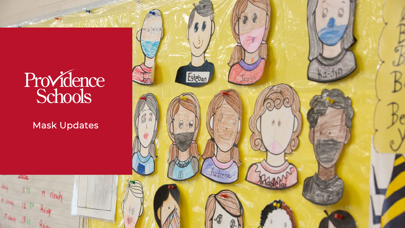

Mask Updates

 $404$ 

Hainh

Rainy

**ALLE** 

 $173$ 

 $R_{\text{diff}}$ 

12 59

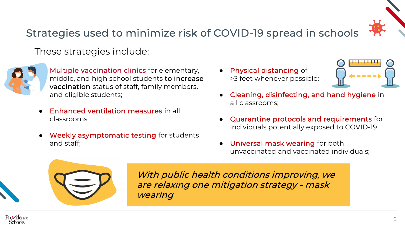

## Strategies used to minimize risk of COVID-19 spread in schools

These strategies include:



- **Enhanced ventilation measures in all** classrooms;
- Weekly asymptomatic testing for students and staff;

• Physical distancing of >3 feet whenever possible;



- Quarantine protocols and requirements for individuals potentially exposed to COVID-19
- Universal mask wearing for both unvaccinated and vaccinated individuals;



With public health conditions improving, we are relaxing one mitigation strategy - mask wearing



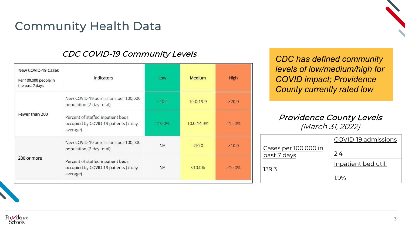# Community Health Data

#### CDC COVID-19 Community Levels

| New COVID-19 Cases<br>Per 100,000 people in<br>the past 7 days | Indicators                                                                            | Low       | Medium     | <b>High</b>   |
|----------------------------------------------------------------|---------------------------------------------------------------------------------------|-----------|------------|---------------|
| Fewer than 200                                                 | New COVID-19 admissions per 100,000<br>population (7-day total)                       | < 10.0    | 10.0-19.9  | $\geq$ 20.0   |
|                                                                | Percent of staffed inpatient beds<br>occupied by COVID-19 patients (7-day<br>average) | < 10.0%   | 10.0-14.9% | $\geq 15.0\%$ |
| 200 or more                                                    | New COVID-19 admissions per 100,000<br>population (7-day total)                       | <b>NA</b> | < 10.0     | $\geq 10.0$   |
|                                                                | Percent of staffed inpatient beds<br>occupied by COVID-19 patients (7-day<br>average) | <b>NA</b> | $< 10.0\%$ | $\geq 10.0\%$ |

*CDC has defined community levels of low/medium/high for COVID impact; Providence County currently rated low* 

#### Providence County Levels (March 31, 2022)

|                      | COVID-19 admissions |  |  |
|----------------------|---------------------|--|--|
| Cases per 100,000 in |                     |  |  |
| past 7 days          | 2.4                 |  |  |
|                      | Inpatient bed util. |  |  |
| 139.3                |                     |  |  |
|                      | 1 9%                |  |  |

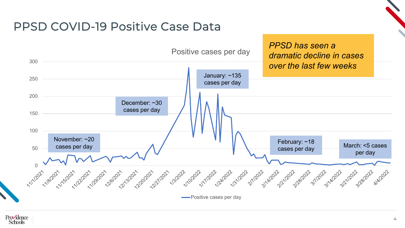## PPSD COVID-19 Positive Case Data